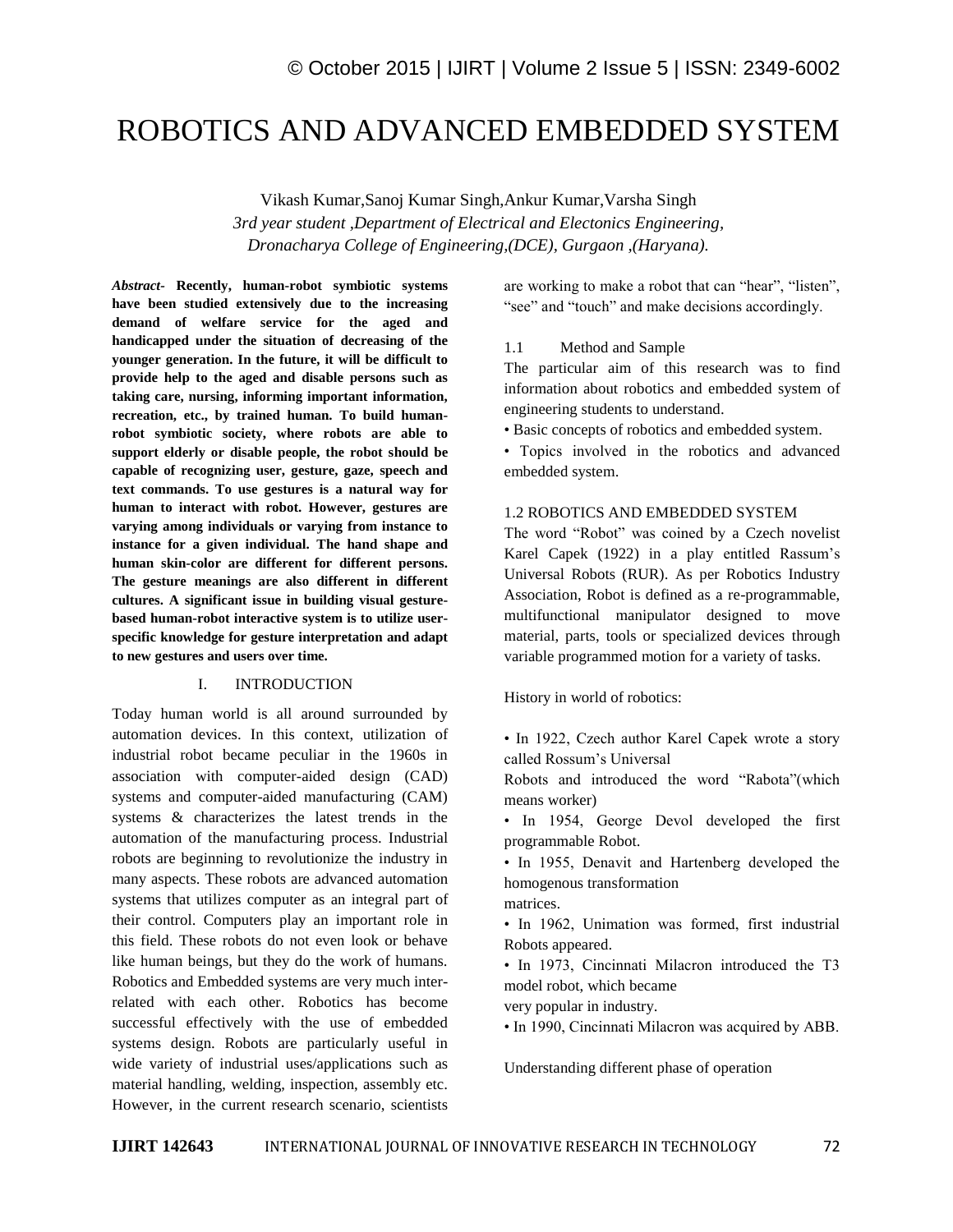# ROBOTICS AND ADVANCED EMBEDDED SYSTEM

Vikash Kumar,Sanoj Kumar Singh,Ankur Kumar,Varsha Singh *3rd year student ,Department of Electrical and Electonics Engineering, Dronacharya College of Engineering,(DCE), Gurgaon ,(Haryana).*

*Abstract-* **Recently, human-robot symbiotic systems have been studied extensively due to the increasing demand of welfare service for the aged and handicapped under the situation of decreasing of the younger generation. In the future, it will be difficult to provide help to the aged and disable persons such as taking care, nursing, informing important information, recreation, etc., by trained human. To build humanrobot symbiotic society, where robots are able to support elderly or disable people, the robot should be capable of recognizing user, gesture, gaze, speech and text commands. To use gestures is a natural way for human to interact with robot. However, gestures are varying among individuals or varying from instance to instance for a given individual. The hand shape and human skin-color are different for different persons. The gesture meanings are also different in different cultures. A significant issue in building visual gesturebased human-robot interactive system is to utilize userspecific knowledge for gesture interpretation and adapt to new gestures and users over time.** 

### I. INTRODUCTION

Today human world is all around surrounded by automation devices. In this context, utilization of industrial robot became peculiar in the 1960s in association with computer-aided design (CAD) systems and computer-aided manufacturing (CAM) systems & characterizes the latest trends in the automation of the manufacturing process. Industrial robots are beginning to revolutionize the industry in many aspects. These robots are advanced automation systems that utilizes computer as an integral part of their control. Computers play an important role in this field. These robots do not even look or behave like human beings, but they do the work of humans. Robotics and Embedded systems are very much interrelated with each other. Robotics has become successful effectively with the use of embedded systems design. Robots are particularly useful in wide variety of industrial uses/applications such as material handling, welding, inspection, assembly etc. However, in the current research scenario, scientists

are working to make a robot that can "hear", "listen", "see" and "touch" and make decisions accordingly.

#### 1.1 Method and Sample

The particular aim of this research was to find information about robotics and embedded system of engineering students to understand.

• Basic concepts of robotics and embedded system.

• Topics involved in the robotics and advanced embedded system.

#### 1.2 ROBOTICS AND EMBEDDED SYSTEM

The word "Robot" was coined by a Czech novelist Karel Capek (1922) in a play entitled Rassum's Universal Robots (RUR). As per Robotics Industry Association, Robot is defined as a re-programmable, multifunctional manipulator designed to move material, parts, tools or specialized devices through variable programmed motion for a variety of tasks.

History in world of robotics:

• In 1922, Czech author Karel Capek wrote a story called Rossum's Universal

Robots and introduced the word "Rabota"(which means worker)

• In 1954, George Devol developed the first programmable Robot.

• In 1955, Denavit and Hartenberg developed the homogenous transformation

matrices.

• In 1962, Unimation was formed, first industrial Robots appeared.

• In 1973, Cincinnati Milacron introduced the T3 model robot, which became

very popular in industry.

• In 1990, Cincinnati Milacron was acquired by ABB.

Understanding different phase of operation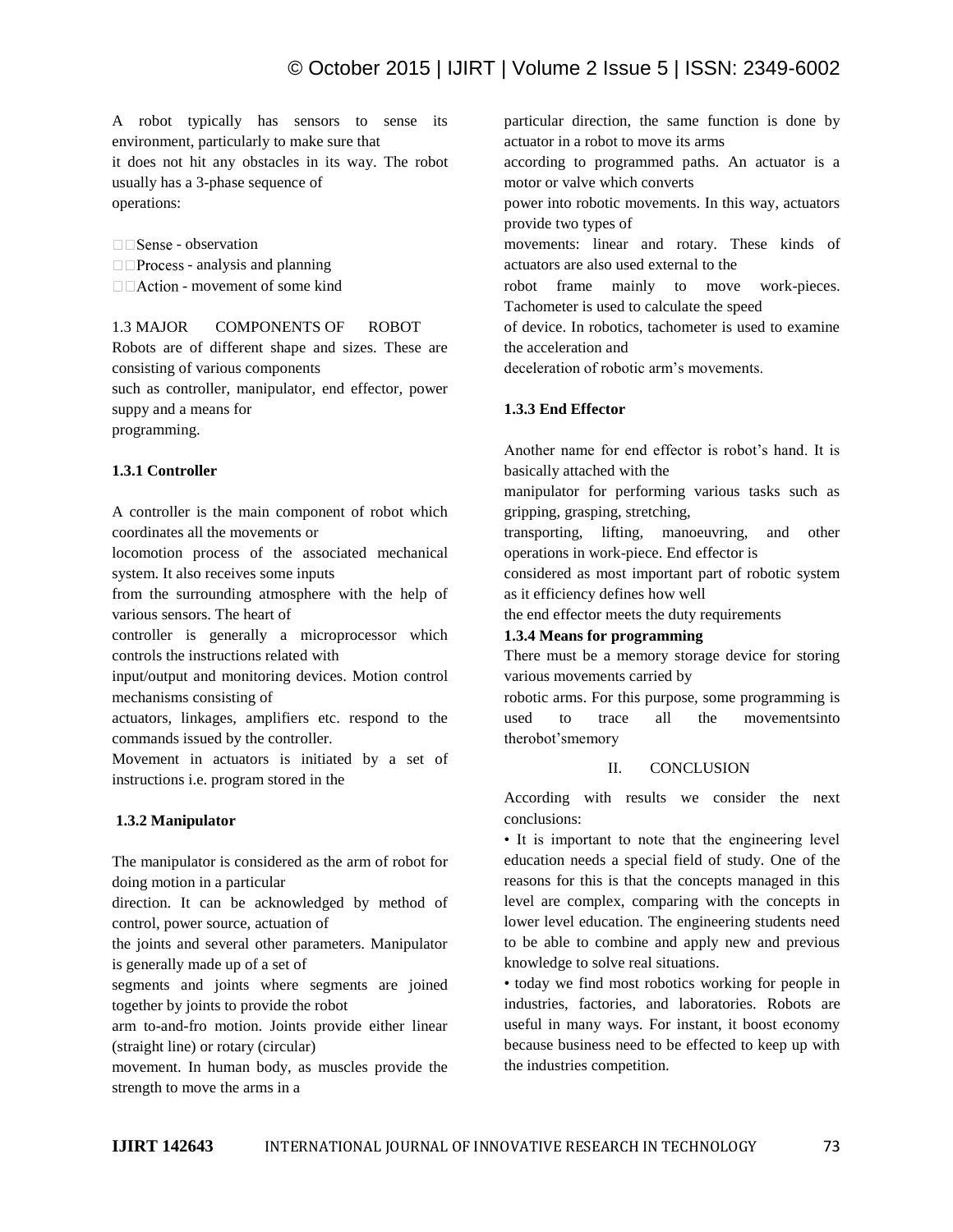A robot typically has sensors to sense its environment, particularly to make sure that it does not hit any obstacles in its way. The robot usually has a 3-phase sequence of operations:

 $\Box$  Sense - observation  $\Box$  Process - analysis and planning  $\Box$  Action - movement of some kind

1.3 MAJOR COMPONENTS OF ROBOT Robots are of different shape and sizes. These are consisting of various components such as controller, manipulator, end effector, power suppy and a means for programming.

# **1.3.1 Controller**

A controller is the main component of robot which coordinates all the movements or

locomotion process of the associated mechanical system. It also receives some inputs

from the surrounding atmosphere with the help of various sensors. The heart of

controller is generally a microprocessor which controls the instructions related with

input/output and monitoring devices. Motion control mechanisms consisting of

actuators, linkages, amplifiers etc. respond to the commands issued by the controller.

Movement in actuators is initiated by a set of instructions i.e. program stored in the

# **1.3.2 Manipulator**

The manipulator is considered as the arm of robot for doing motion in a particular

direction. It can be acknowledged by method of control, power source, actuation of

the joints and several other parameters. Manipulator is generally made up of a set of

segments and joints where segments are joined together by joints to provide the robot

arm to-and-fro motion. Joints provide either linear (straight line) or rotary (circular)

movement. In human body, as muscles provide the strength to move the arms in a

particular direction, the same function is done by actuator in a robot to move its arms

according to programmed paths. An actuator is a motor or valve which converts

power into robotic movements. In this way, actuators provide two types of

movements: linear and rotary. These kinds of actuators are also used external to the

robot frame mainly to move work-pieces. Tachometer is used to calculate the speed

of device. In robotics, tachometer is used to examine the acceleration and

deceleration of robotic arm's movements.

## **1.3.3 End Effector**

Another name for end effector is robot's hand. It is basically attached with the

manipulator for performing various tasks such as gripping, grasping, stretching,

transporting, lifting, manoeuvring, and other operations in work-piece. End effector is

considered as most important part of robotic system as it efficiency defines how well

the end effector meets the duty requirements

### **1.3.4 Means for programming**

There must be a memory storage device for storing various movements carried by

robotic arms. For this purpose, some programming is used to trace all the movementsinto therobot'smemory

### II. CONCLUSION

According with results we consider the next conclusions:

• It is important to note that the engineering level education needs a special field of study. One of the reasons for this is that the concepts managed in this level are complex, comparing with the concepts in lower level education. The engineering students need to be able to combine and apply new and previous knowledge to solve real situations.

• today we find most robotics working for people in industries, factories, and laboratories. Robots are useful in many ways. For instant, it boost economy because business need to be effected to keep up with the industries competition.